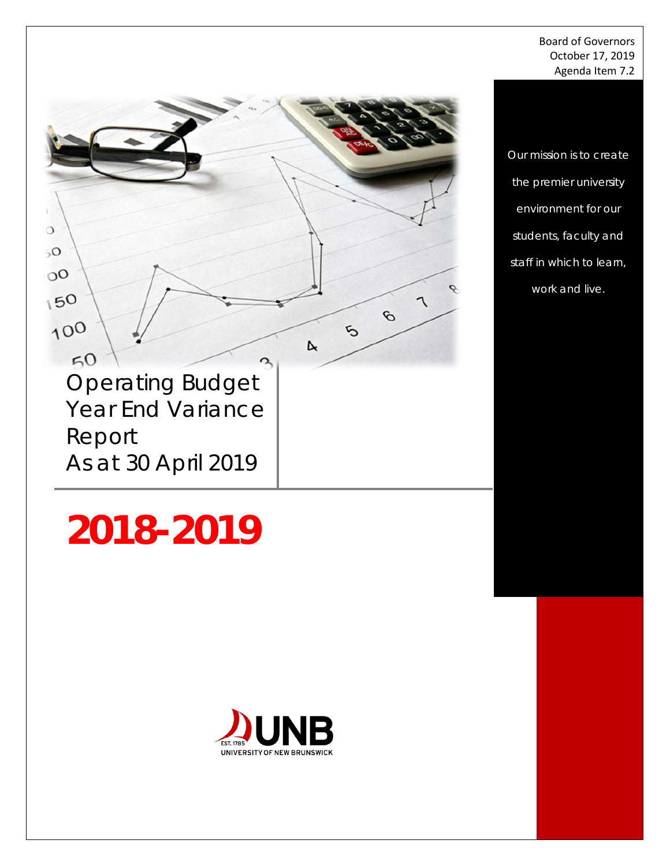Board of Governors October 17, 2019 Agenda Item 7.2

*Our mission is to create the premier university environment for our students, faculty and staff in which to learn, work and live.*

ò

٦

 $\mathcal{O}$ 

ъ

 $\triangleright$ 

ዱ

Year End Variance Report As at 30 April 2019

Operating Budget

 $\circ$ 

 $50$ 

 $0<sup>0</sup>$ 

150

100

 $50$ 

# **2018-2019**

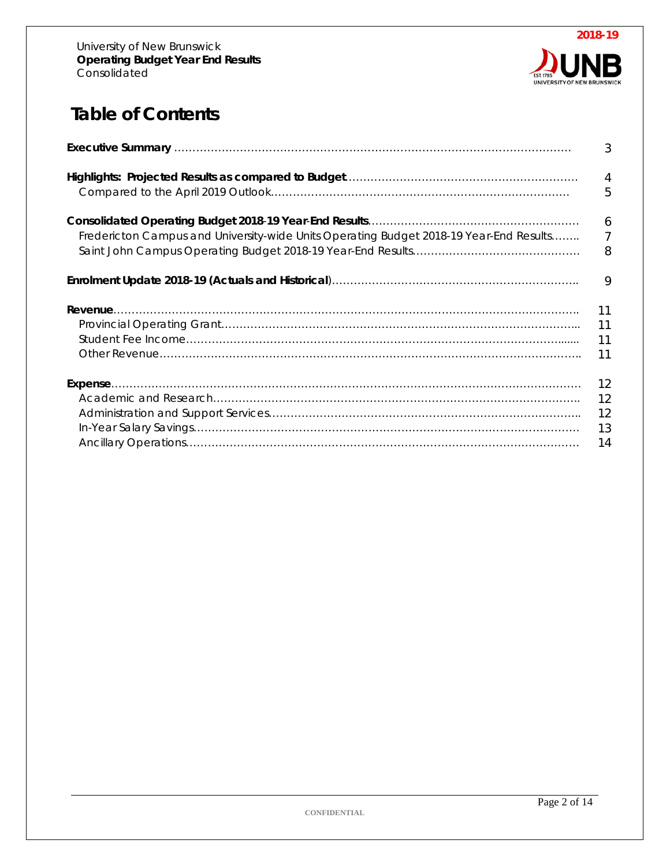

# **Table of Contents**

|                                                                                        | $\mathfrak{Z}$ |
|----------------------------------------------------------------------------------------|----------------|
|                                                                                        | $\overline{4}$ |
|                                                                                        | 5              |
|                                                                                        | 6              |
| Fredericton Campus and University-wide Units Operating Budget 2018-19 Year-End Results | $\overline{7}$ |
|                                                                                        | 8              |
|                                                                                        | 9              |
|                                                                                        | 11<br>11<br>11 |
|                                                                                        | 12             |
|                                                                                        | 12             |
|                                                                                        | 12             |
|                                                                                        | 13             |
|                                                                                        | 14             |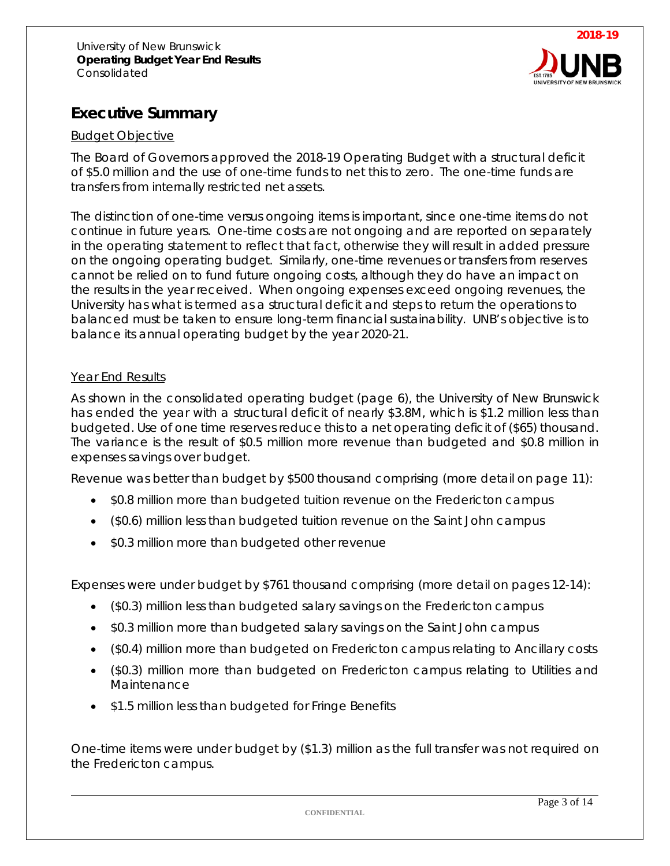

### **Executive Summary**

#### Budget Objective

The Board of Governors approved the 2018-19 Operating Budget with a structural deficit of \$5.0 million and the use of one-time funds to net this to zero. The one-time funds are transfers from internally restricted net assets.

The distinction of one-time versus ongoing items is important, since one-time items do not continue in future years. One-time costs are not ongoing and are reported on separately in the operating statement to reflect that fact, otherwise they will result in added pressure on the ongoing operating budget. Similarly, one-time revenues or transfers from reserves cannot be relied on to fund future ongoing costs, although they do have an impact on the results in the year received. When ongoing expenses exceed ongoing revenues, the University has what is termed as a structural deficit and steps to return the operations to balanced must be taken to ensure long-term financial sustainability. UNB's objective is to balance its annual operating budget by the year 2020-21.

#### Year End Results

As shown in the consolidated operating budget (page 6), the University of New Brunswick has ended the year with a structural deficit of nearly \$3.8M, which is \$1.2 million less than budgeted. Use of one time reserves reduce this to a net operating deficit of (\$65) thousand. The variance is the result of \$0.5 million more revenue than budgeted and \$0.8 million in expenses savings over budget.

Revenue was better than budget by \$500 thousand comprising (more detail on page 11):

- \$0.8 million more than budgeted tuition revenue on the Fredericton campus
- (\$0.6) million less than budgeted tuition revenue on the Saint John campus
- \$0.3 million more than budgeted other revenue

Expenses were under budget by \$761 thousand comprising (more detail on pages 12-14):

- (\$0.3) million less than budgeted salary savings on the Fredericton campus
- \$0.3 million more than budgeted salary savings on the Saint John campus
- (\$0.4) million more than budgeted on Fredericton campus relating to Ancillary costs
- (\$0.3) million more than budgeted on Fredericton campus relating to Utilities and Maintenance
- \$1.5 million less than budgeted for Fringe Benefits

One-time items were under budget by (\$1.3) million as the full transfer was not required on the Fredericton campus.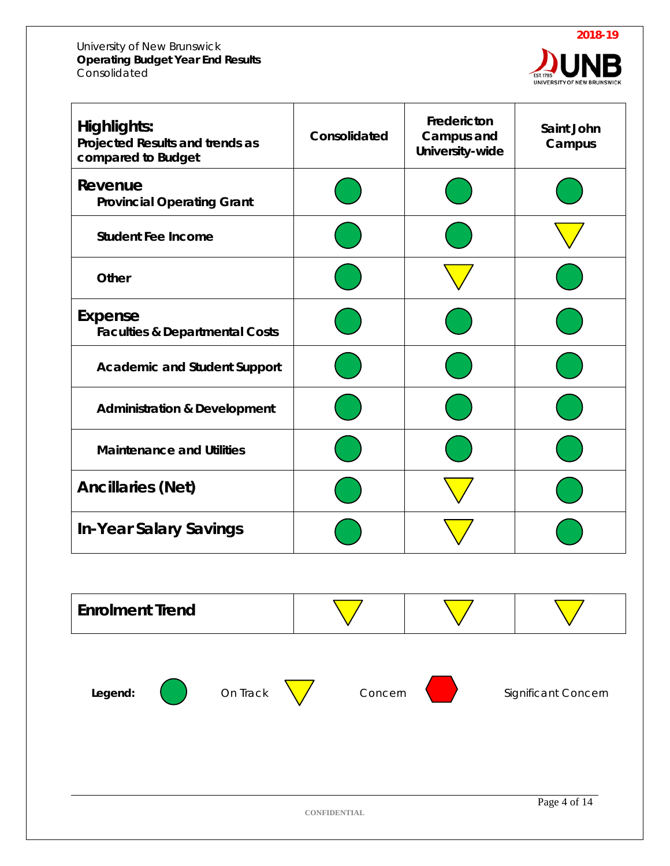

| <b>Highlights:</b><br>Projected Results and trends as<br>compared to Budget | Consolidated | Fredericton<br>Campus and<br>University-wide | Saint John<br>Campus |
|-----------------------------------------------------------------------------|--------------|----------------------------------------------|----------------------|
| Revenue<br><b>Provincial Operating Grant</b>                                |              |                                              |                      |
| <b>Student Fee Income</b>                                                   |              |                                              |                      |
| Other                                                                       |              |                                              |                      |
| Expense<br><b>Faculties &amp; Departmental Costs</b>                        |              |                                              |                      |
| <b>Academic and Student Support</b>                                         |              |                                              |                      |
| <b>Administration &amp; Development</b>                                     |              |                                              |                      |
| <b>Maintenance and Utilities</b>                                            |              |                                              |                      |
| <b>Ancillaries (Net)</b>                                                    |              |                                              |                      |
| <b>In-Year Salary Savings</b>                                               |              |                                              |                      |

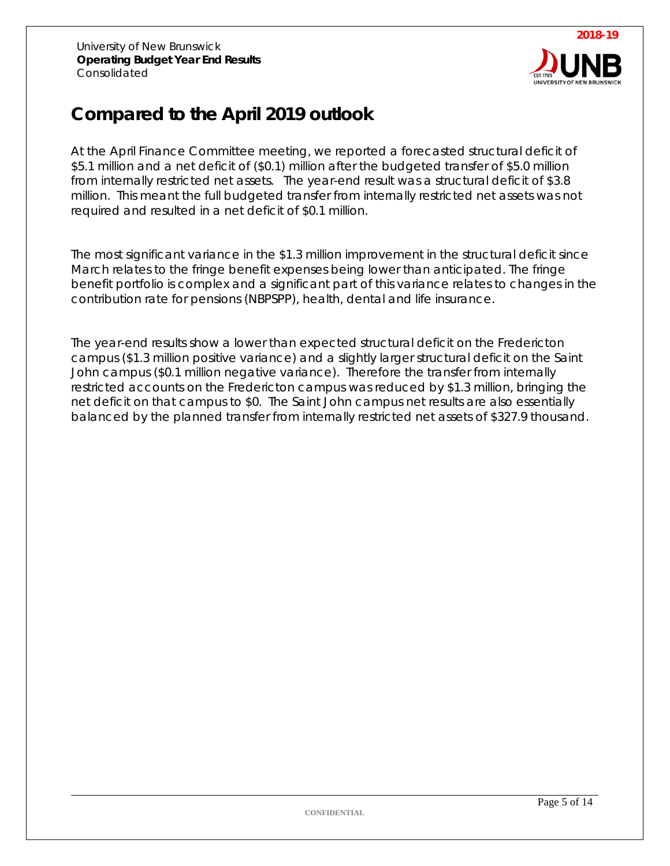

# **Compared to the April 2019 outlook**

At the April Finance Committee meeting, we reported a forecasted structural deficit of \$5.1 million and a net deficit of (\$0.1) million after the budgeted transfer of \$5.0 million from internally restricted net assets. The year-end result was a structural deficit of \$3.8 million. This meant the full budgeted transfer from internally restricted net assets was not required and resulted in a net deficit of \$0.1 million.

The most significant variance in the \$1.3 million improvement in the structural deficit since March relates to the fringe benefit expenses being lower than anticipated. The fringe benefit portfolio is complex and a significant part of this variance relates to changes in the contribution rate for pensions (NBPSPP), health, dental and life insurance.

The year-end results show a lower than expected structural deficit on the Fredericton campus (\$1.3 million positive variance) and a slightly larger structural deficit on the Saint John campus (\$0.1 million negative variance). Therefore the transfer from internally restricted accounts on the Fredericton campus was reduced by \$1.3 million, bringing the net deficit on that campus to \$0. The Saint John campus net results are also essentially balanced by the planned transfer from internally restricted net assets of \$327.9 thousand.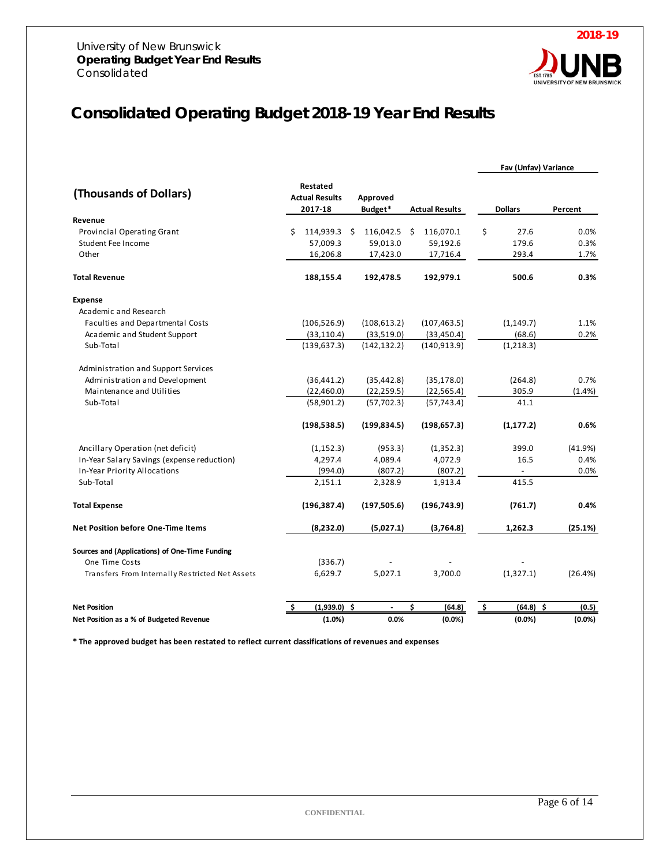

## **Consolidated Operating Budget 2018-19 Year End Results**

|                                                 |                                              |                     |                       | Fav (Unfav) Variance    |         |
|-------------------------------------------------|----------------------------------------------|---------------------|-----------------------|-------------------------|---------|
| (Thousands of Dollars)                          | Restated<br><b>Actual Results</b><br>2017-18 | Approved<br>Budget* | <b>Actual Results</b> | <b>Dollars</b>          | Percent |
| Revenue                                         |                                              |                     |                       |                         |         |
| Provincial Operating Grant                      | \$<br>114,939.3 \$                           | 116,042.5           | \$<br>116,070.1       | \$<br>27.6              | 0.0%    |
| <b>Student Fee Income</b>                       | 57,009.3                                     | 59,013.0            | 59,192.6              | 179.6                   | 0.3%    |
| Other                                           | 16,206.8                                     | 17,423.0            | 17,716.4              | 293.4                   | 1.7%    |
| <b>Total Revenue</b>                            | 188,155.4                                    | 192,478.5           | 192,979.1             | 500.6                   | 0.3%    |
| <b>Expense</b>                                  |                                              |                     |                       |                         |         |
| Academic and Research                           |                                              |                     |                       |                         |         |
| Faculties and Departmental Costs                | (106, 526.9)                                 | (108, 613.2)        | (107, 463.5)          | (1, 149.7)              | 1.1%    |
| Academic and Student Support                    | (33, 110.4)                                  | (33,519.0)          | (33, 450.4)           | (68.6)                  | 0.2%    |
| Sub-Total                                       | (139, 637.3)                                 | (142, 132.2)        | (140, 913.9)          | (1,218.3)               |         |
| Administration and Support Services             |                                              |                     |                       |                         |         |
| Administration and Development                  | (36, 441.2)                                  | (35, 442.8)         | (35, 178.0)           | (264.8)                 | 0.7%    |
| Maintenance and Utilities                       | (22,460.0)                                   | (22, 259.5)         | (22, 565.4)           | 305.9                   | (1.4% ) |
| Sub-Total                                       | (58,901.2)                                   | (57, 702.3)         | (57, 743.4)           | 41.1                    |         |
|                                                 | (198, 538.5)                                 | (199, 834.5)        | (198, 657.3)          | (1, 177.2)              | 0.6%    |
| Ancillary Operation (net deficit)               | (1, 152.3)                                   | (953.3)             | (1,352.3)             | 399.0                   | (41.9%) |
| In-Year Salary Savings (expense reduction)      | 4,297.4                                      | 4,089.4             | 4,072.9               | 16.5                    | 0.4%    |
| In-Year Priority Allocations                    | (994.0)                                      | (807.2)             | (807.2)               |                         | 0.0%    |
| Sub-Total                                       | 2,151.1                                      | 2,328.9             | 1,913.4               | 415.5                   |         |
| <b>Total Expense</b>                            | (196, 387.4)                                 | (197, 505.6)        | (196, 743.9)          | (761.7)                 | 0.4%    |
| <b>Net Position before One-Time Items</b>       | (8,232.0)                                    | (5,027.1)           | (3,764.8)             | 1,262.3                 | (25.1%) |
| Sources and (Applications) of One-Time Funding  |                                              |                     |                       |                         |         |
| One Time Costs                                  | (336.7)                                      |                     |                       |                         |         |
| Transfers From Internally Restricted Net Assets | 6,629.7                                      | 5,027.1             | 3.700.0               | (1,327.1)               | (26.4%) |
| <b>Net Position</b>                             | $(1,939.0)$ \$                               |                     | \$<br>(64.8)          | <u>ې</u><br>$(64.8)$ \$ | (0.5)   |
| Net Position as a % of Budgeted Revenue         | (1.0%)                                       | 0.0%                | (0.0%                 | (0.0%                   | (0.0%   |

**\* The approved budget has been restated to reflect current classifications of revenues and expenses**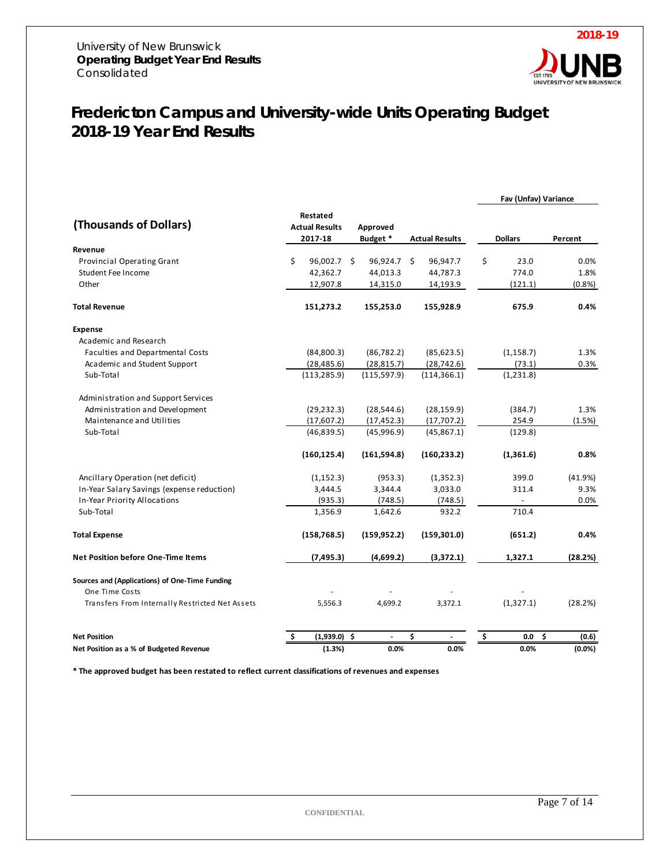

**Fav (Unfav) Variance** 

## *Fredericton Campus and University-wide Units Operating Budget 2018-19 Year End Results*

| (Thousands of Dollars)                          | Restated<br><b>Actual Results</b><br>2017-18 | Approved<br>Budget * | <b>Actual Results</b> | <b>Dollars</b>   | Percent   |
|-------------------------------------------------|----------------------------------------------|----------------------|-----------------------|------------------|-----------|
| Revenue                                         |                                              |                      |                       |                  |           |
| Provincial Operating Grant                      | \$<br>96,002.7 \$                            | 96,924.7 \$          | 96,947.7              | \$<br>23.0       | 0.0%      |
| Student Fee Income                              | 42,362.7                                     | 44,013.3             | 44,787.3              | 774.0            | 1.8%      |
| Other                                           | 12,907.8                                     | 14,315.0             | 14,193.9              | (121.1)          | (0.8%     |
| <b>Total Revenue</b>                            | 151,273.2                                    | 155,253.0            | 155,928.9             | 675.9            | 0.4%      |
| <b>Expense</b>                                  |                                              |                      |                       |                  |           |
| Academic and Research                           |                                              |                      |                       |                  |           |
| Faculties and Departmental Costs                | (84,800.3)                                   | (86, 782.2)          | (85,623.5)            | (1, 158.7)       | 1.3%      |
| Academic and Student Support                    | (28, 485.6)                                  | (28, 815.7)          | (28, 742.6)           | (73.1)           | 0.3%      |
| Sub-Total                                       | (113, 285.9)                                 | (115, 597.9)         | (114, 366.1)          | (1,231.8)        |           |
| Administration and Support Services             |                                              |                      |                       |                  |           |
| Administration and Development                  | (29, 232.3)                                  | (28, 544.6)          | (28, 159.9)           | (384.7)          | 1.3%      |
| Maintenance and Utilities                       | (17,607.2)                                   | (17, 452.3)          | (17,707.2)            | 254.9            | (1.5%)    |
| Sub-Total                                       | (46,839.5)                                   | (45,996.9)           | (45,867.1)            | (129.8)          |           |
|                                                 | (160, 125.4)                                 | (161, 594.8)         | (160, 233.2)          | (1,361.6)        | 0.8%      |
| Ancillary Operation (net deficit)               | (1, 152.3)                                   | (953.3)              | (1,352.3)             | 399.0            | (41.9%)   |
| In-Year Salary Savings (expense reduction)      | 3,444.5                                      | 3,344.4              | 3,033.0               | 311.4            | 9.3%      |
| In-Year Priority Allocations                    | (935.3)                                      | (748.5)              | (748.5)               |                  | 0.0%      |
| Sub-Total                                       | 1,356.9                                      | 1,642.6              | 932.2                 | 710.4            |           |
| <b>Total Expense</b>                            | (158, 768.5)                                 | (159, 952.2)         | (159, 301.0)          | (651.2)          | 0.4%      |
| <b>Net Position before One-Time Items</b>       | (7, 495.3)                                   | (4,699.2)            | (3,372.1)             | 1,327.1          | (28.2%)   |
| Sources and (Applications) of One-Time Funding  |                                              |                      |                       |                  |           |
| One Time Costs                                  |                                              |                      |                       |                  |           |
| Transfers From Internally Restricted Net Assets | 5,556.3                                      | 4,699.2              | 3,372.1               | (1,327.1)        | (28.2%)   |
| <b>Net Position</b>                             | Ŝ.<br>$(1,939.0)$ \$                         | $\overline{a}$       | \$                    | \$<br>\$.<br>0.0 | (0.6)     |
| Net Position as a % of Budgeted Revenue         | (1.3%)                                       | 0.0%                 | 0.0%                  | 0.0%             | $(0.0\%)$ |

**\* The approved budget has been restated to reflect current classifications of revenues and expenses**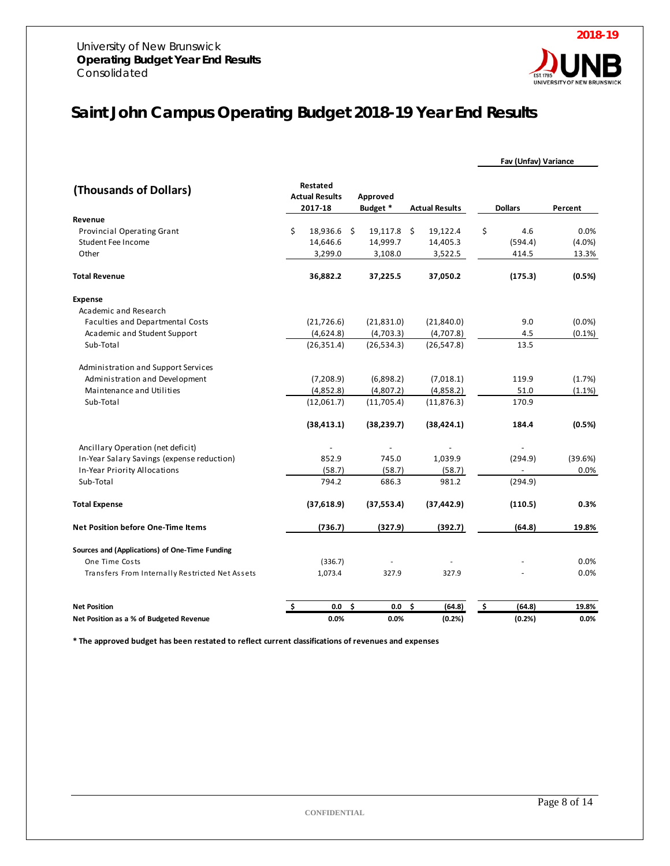

## *Saint John Campus Operating Budget 2018-19 Year End Results*

|                                                 |    |                                              |                      |               |                       |                 | Fav (Unfav) Variance |           |
|-------------------------------------------------|----|----------------------------------------------|----------------------|---------------|-----------------------|-----------------|----------------------|-----------|
| (Thousands of Dollars)                          |    | Restated<br><b>Actual Results</b><br>2017-18 | Approved<br>Budget * |               | <b>Actual Results</b> |                 | <b>Dollars</b>       | Percent   |
| Revenue                                         |    |                                              |                      |               |                       |                 |                      |           |
| Provincial Operating Grant                      | \$ | 18,936.6 \$                                  |                      | $19,117.8$ \$ | 19,122.4              | \$              | 4.6                  | 0.0%      |
| Student Fee Income                              |    | 14,646.6                                     |                      | 14,999.7      | 14,405.3              |                 | (594.4)              | (4.0%     |
| Other                                           |    | 3,299.0                                      |                      | 3,108.0       | 3,522.5               |                 | 414.5                | 13.3%     |
| <b>Total Revenue</b>                            |    | 36,882.2                                     |                      | 37,225.5      | 37,050.2              |                 | (175.3)              | (0.5%)    |
| <b>Expense</b>                                  |    |                                              |                      |               |                       |                 |                      |           |
| Academic and Research                           |    |                                              |                      |               |                       |                 |                      |           |
| Faculties and Departmental Costs                |    | (21, 726.6)                                  |                      | (21,831.0)    | (21,840.0)            |                 | 9.0                  | (0.0%     |
| Academic and Student Support                    |    | (4,624.8)                                    |                      | (4,703.3)     | (4,707.8)             |                 | 4.5                  | $(0.1\%)$ |
| Sub-Total                                       |    | (26, 351.4)                                  |                      | (26, 534.3)   | (26, 547.8)           |                 | 13.5                 |           |
| Administration and Support Services             |    |                                              |                      |               |                       |                 |                      |           |
| Administration and Development                  |    | (7,208.9)                                    |                      | (6,898.2)     | (7,018.1)             |                 | 119.9                | (1.7%)    |
| Maintenance and Utilities                       |    | (4,852.8)                                    |                      | (4,807.2)     | (4,858.2)             |                 | 51.0                 | (1.1%)    |
| Sub-Total                                       |    | (12,061.7)                                   |                      | (11,705.4)    | (11, 876.3)           |                 | 170.9                |           |
|                                                 |    | (38, 413.1)                                  |                      | (38, 239.7)   | (38, 424.1)           |                 | 184.4                | (0.5%)    |
| Ancillary Operation (net deficit)               |    |                                              |                      |               |                       |                 |                      |           |
| In-Year Salary Savings (expense reduction)      |    | 852.9                                        |                      | 745.0         | 1,039.9               |                 | (294.9)              | (39.6%)   |
| In-Year Priority Allocations                    |    | (58.7)                                       |                      | (58.7)        | (58.7)                |                 | $\blacksquare$       | 0.0%      |
| Sub-Total                                       |    | 794.2                                        |                      | 686.3         | 981.2                 |                 | (294.9)              |           |
| <b>Total Expense</b>                            |    | (37,618.9)                                   |                      | (37, 553.4)   | (37, 442.9)           |                 | (110.5)              | 0.3%      |
| <b>Net Position before One-Time Items</b>       |    | (736.7)                                      |                      | (327.9)       | (392.7)               |                 | (64.8)               | 19.8%     |
| Sources and (Applications) of One-Time Funding  |    |                                              |                      |               |                       |                 |                      |           |
| One Time Costs                                  |    | (336.7)                                      |                      |               |                       |                 |                      | 0.0%      |
| Transfers From Internally Restricted Net Assets |    | 1,073.4                                      |                      | 327.9         | 327.9                 |                 |                      | 0.0%      |
| <b>Net Position</b>                             | \$ | 0.0                                          | \$                   | 0.0           | \$<br>(64.8)          | $\frac{\xi}{2}$ | (64.8)               | 19.8%     |
| Net Position as a % of Budgeted Revenue         |    | 0.0%                                         |                      | 0.0%          | (0.2% )               |                 | (0.2%)               | 0.0%      |

**\* The approved budget has been restated to reflect current classifications of revenues and expenses**

**CONFIDENTIAL**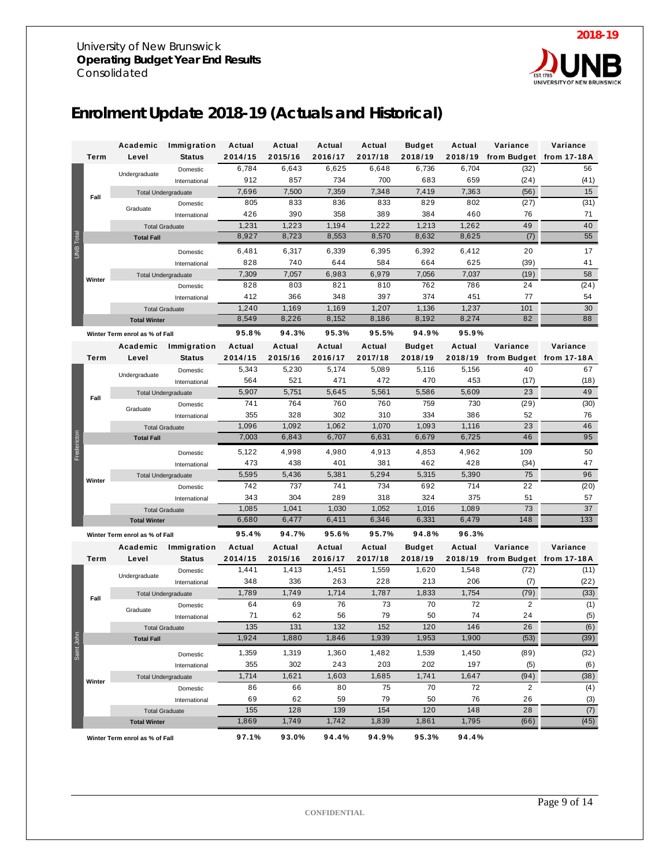

## **Enrolment Update 2018-19 (Actuals and Historical)**

|             |        | Academic                                   | Immigration                                               | Actual           | Actual           | Actual           | Actual           | <b>Budget</b>    | Actual           | Variance                      | Variance   |
|-------------|--------|--------------------------------------------|-----------------------------------------------------------|------------------|------------------|------------------|------------------|------------------|------------------|-------------------------------|------------|
|             | Term   | Level                                      | <b>Status</b>                                             | 2014/15          | 2015/16          | 2016/17          | 2017/18          | 2018/19          | 2018/19          | from Budget from 17-18A       |            |
|             |        |                                            | Domestic                                                  | 6,784            | 6,643            | 6,625            | 6,648            | 6,736            | 6,704            | (32)                          | 56         |
|             |        | Undergraduate                              | International                                             | 912              | 857              | 734              | 700              | 683              | 659              | (24)                          | (41)       |
|             |        | <b>Total Undergraduate</b>                 |                                                           | 7,696            | 7,500            | 7,359            | 7,348            | 7,419            | 7,363            | (56)                          | 15         |
|             | Fall   |                                            | Domestic                                                  | 805              | 833              | 836              | 833              | 829              | 802              | (27)                          | (31)       |
|             |        | Graduate                                   | International                                             | 426              | 390              | 358              | 389              | 384              | 460              | 76                            | 71         |
|             |        | <b>Total Graduate</b>                      |                                                           | 1,231            | 1,223            | 1,194            | 1,222            | 1,213            | 1,262            | 49                            | 40         |
|             |        | <b>Total Fall</b>                          | 8,927<br>8,723<br>8,553<br>8,570<br>8,632<br>8,625<br>(7) |                  |                  |                  |                  |                  |                  |                               |            |
| UNB Total   |        |                                            | Domestic                                                  | 6,481            | 6,317            | 6,339            | 6,395            | 6,392            | 6,412            | 20                            | 17         |
|             |        |                                            | International                                             | 828              | 740              | 644              | 584              | 664              | 625              | (39)                          | 41         |
|             |        | <b>Total Undergraduate</b>                 |                                                           | 7,309            | 7,057            | 6,983            | 6,979            | 7,056            | 7,037            | (19)                          | 58         |
|             | Winter |                                            | Domestic                                                  | 828              | 803              | 821              | 810              | 762              | 786              | 24                            | (24)       |
|             |        |                                            | International                                             | 412              | 366              | 348              | 397              | 374              | 451              | 77                            | 54         |
|             |        | <b>Total Graduate</b>                      |                                                           | 1,240            | 1,169            | 1,169            | 1,207            | 1,136            | 1,237            | 101                           | 30         |
|             |        | <b>Total Winter</b>                        |                                                           | 8,549            | 8,226            | 8,152            | 8,186            | 8,192            | 8,274            | 82                            | 88         |
|             |        | Winter Term enrol as % of Fall             |                                                           | 95.8%            | 94.3%            | 95.3%            | 95.5%            | 94.9%            | 95.9%            |                               |            |
|             |        |                                            |                                                           |                  |                  |                  |                  |                  |                  | Variance                      |            |
|             | Term   | Academic                                   | Immigration                                               | Actual           | Actual           | Actual           | Actual           | <b>Budget</b>    | Actual           |                               | Variance   |
|             |        | Level                                      | <b>Status</b>                                             | 2014/15<br>5,343 | 2015/16<br>5,230 | 2016/17<br>5,174 | 2017/18<br>5,089 | 2018/19<br>5,116 | 2018/19<br>5,156 | from Budget from 17-18A<br>40 | 67         |
|             |        | Undergraduate                              | Domestic                                                  | 564              | 521              |                  | 472              | 470              | 453              |                               |            |
|             |        |                                            | International                                             | 5,907            |                  | 471              |                  |                  |                  | (17)<br>23                    | (18)<br>49 |
|             | Fall   |                                            | <b>Total Undergraduate</b>                                |                  | 5,751<br>764     | 5,645<br>760     | 5,561<br>760     | 5,586<br>759     | 5,609<br>730     | (29)                          | (30)       |
|             |        | Graduate                                   | Domestic                                                  | 741<br>355       | 328              | 302              | 310              | 334              | 386              | 52                            | 76         |
|             |        |                                            | International                                             | 1,096            | 1,092            | 1,062            | 1,070            | 1,093            | 1,116            | 23                            | 46         |
|             |        | <b>Total Graduate</b><br><b>Total Fall</b> |                                                           | 7,003            | 6,843            | 6,707            | 6,631            | 6,679            | 6,725            | 46                            | 95         |
| Fredericton |        |                                            |                                                           |                  |                  |                  |                  |                  |                  |                               |            |
|             |        |                                            | Domestic                                                  | 5,122            | 4,998            | 4,980            | 4,913            | 4,853            | 4,962            | 109                           | 50         |
|             |        |                                            | International                                             | 473              | 438              | 401              | 381              | 462              | 428              | (34)                          | 47         |
|             | Winter | <b>Total Undergraduate</b>                 |                                                           | 5,595            | 5,436            | 5,381            | 5,294            | 5,315            | 5,390            | 75                            | 96         |
|             |        |                                            | Domestic                                                  | 742              | 737              | 741              | 734              | 692              | 714              | 22                            | (20)       |
|             |        |                                            | International                                             | 343              | 304              | 289              | 318              | 324              | 375              | 51                            | 57         |
|             |        | <b>Total Graduate</b>                      |                                                           | 1,085            | 1,041            | 1,030            | 1,052            | 1,016            | 1,089            | 73<br>148                     | 37<br>133  |
|             |        | <b>Total Winter</b>                        |                                                           | 6,680            | 6,477            | 6,411            | 6,346            | 6,331            | 6,479            |                               |            |
|             |        | Winter Term enrol as % of Fall             |                                                           | 95.4%            | 94.7%            | 95.6%            | 95.7%            | 94.8%            | 96.3%            |                               |            |
|             |        | Academic                                   | Immigration                                               | Actual           | Actual           | Actual           | Actual           | <b>Budget</b>    | Actual           | Variance                      | Variance   |
|             | Term   | Level                                      | <b>Status</b>                                             | 2014/15          | 2015/16          | 2016/17          | 2017/18          | 2018/19          | 2018/19          | from Budget from 17-18A       |            |
|             |        | Undergraduate                              | Domestic                                                  | 1,441            | 1,413            | 1,451            | 1,559            | 1,620            | 1,548            | (72)                          | (11)       |
|             |        |                                            | International                                             | 348              | 336              | 263              | 228              | 213              | 206              | (7)                           | (22)       |
|             | Fall   | <b>Total Undergraduate</b>                 |                                                           | 1,789            | 1,749            | 1,714            | 1,787            | 1,833            | 1,754            | (79)                          | (33)       |
|             |        | Graduate                                   | Domestic                                                  | 64               | 69               | 76               | 73               | 70               | 72               | $\overline{c}$                | (1)        |
|             |        |                                            | International                                             | 71               | 62               | 56               | 79               | 50               | 74               | 24                            | (5)        |
|             |        | <b>Total Graduate</b>                      |                                                           | 135              | 131              | 132              | 152              | 120              | 146              | 26                            | (6)        |
| Saint John  |        | <b>Total Fall</b>                          |                                                           | 1,924            | 1,880            | 1,846            | 1,939            | 1,953            | 1,900            | (53)                          | (39)       |
|             |        |                                            | Domestic                                                  | 1,359            | 1,319            | 1,360            | 1,482            | 1,539            | 1,450            | (89)                          | (32)       |
|             |        |                                            | International                                             | 355              | 302              | 243              | 203              | 202              | 197              | (5)                           | (6)        |
|             | Winter | <b>Total Undergraduate</b>                 |                                                           | 1,714            | 1,621            | 1,603            | 1,685            | 1,741            | 1,647            | (94)                          | (38)       |
|             |        |                                            | Domestic                                                  | 86               | 66               | 80               | 75               | 70               | 72               | $\overline{2}$                | (4)        |
|             |        |                                            | International                                             | 69               | 62               | 59               | 79               | 50               | 76               | 26                            | (3)        |
|             |        | <b>Total Graduate</b>                      |                                                           | 155              | 128              | 139              | 154              | 120              | 148              | 28                            | (7)        |
|             |        | <b>Total Winter</b>                        |                                                           | 1,869            | 1,749            | 1,742            | 1,839            | 1,861            | 1,795            | (66)                          | (45)       |
|             |        | Winter Term enrol as % of Fall             |                                                           | 97.1%            | 93.0%            | 94.4%            | 94.9%            | 95.3%            | 94.4%            |                               |            |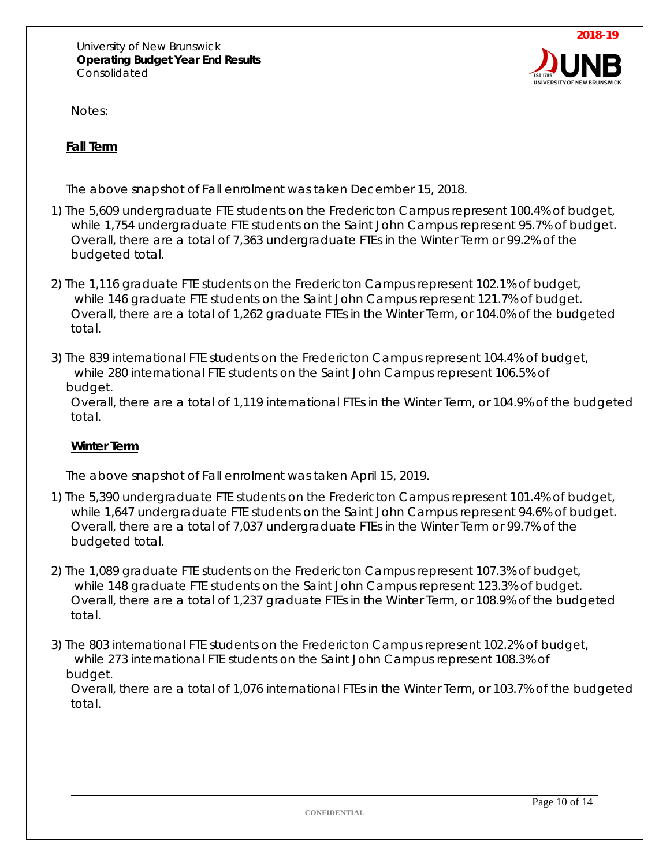

Notes:

#### **Fall Term**

The above snapshot of Fall enrolment was taken December 15, 2018.

- 1) The 5,609 undergraduate FTE students on the Fredericton Campus represent 100.4% of budget, while 1,754 undergraduate FTE students on the Saint John Campus represent 95.7% of budget. Overall, there are a total of 7,363 undergraduate FTEs in the Winter Term or 99.2% of the budgeted total.
- 2) The 1,116 graduate FTE students on the Fredericton Campus represent 102.1% of budget, while 146 graduate FTE students on the Saint John Campus represent 121.7% of budget. Overall, there are a total of 1,262 graduate FTEs in the Winter Term, or 104.0% of the budgeted total.
- 3) The 839 international FTE students on the Fredericton Campus represent 104.4% of budget, while 280 international FTE students on the Saint John Campus represent 106.5% of budget.

Overall, there are a total of 1,119 international FTEs in the Winter Term, or 104.9% of the budgeted total.

#### **Winter Term**

The above snapshot of Fall enrolment was taken April 15, 2019.

- 1) The 5,390 undergraduate FTE students on the Fredericton Campus represent 101.4% of budget, while 1,647 undergraduate FTE students on the Saint John Campus represent 94.6% of budget. Overall, there are a total of 7,037 undergraduate FTEs in the Winter Term or 99.7% of the budgeted total.
- 2) The 1,089 graduate FTE students on the Fredericton Campus represent 107.3% of budget, while 148 graduate FTE students on the Saint John Campus represent 123.3% of budget. Overall, there are a total of 1,237 graduate FTEs in the Winter Term, or 108.9% of the budgeted total.
- 3) The 803 international FTE students on the Fredericton Campus represent 102.2% of budget, while 273 international FTE students on the Saint John Campus represent 108.3% of budget.

Overall, there are a total of 1,076 international FTEs in the Winter Term, or 103.7% of the budgeted total.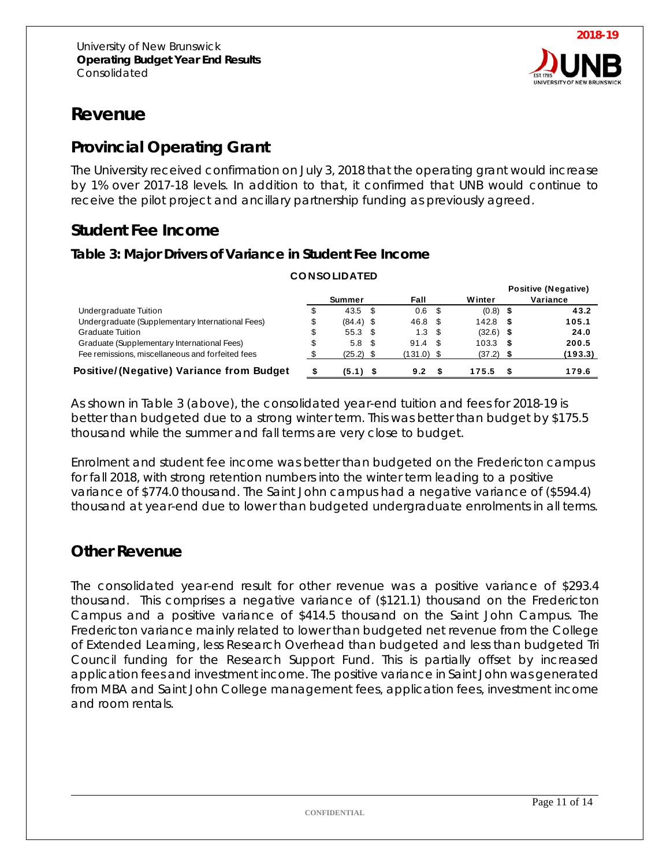

## **Revenue**

## **Provincial Operating Grant**

The University received confirmation on July 3, 2018 that the operating grant would increase by 1% over 2017-18 levels. In addition to that, it confirmed that UNB would continue to receive the pilot project and ancillary partnership funding as previously agreed.

## **Student Fee Income**

#### **Table 3: Major Drivers of Variance in Student Fee Income**

|                                                  |    |                  |                   |             | <b>Positive (Negative)</b> |
|--------------------------------------------------|----|------------------|-------------------|-------------|----------------------------|
|                                                  |    | Summer           | Fall              | Winter      | Variance                   |
| Undergraduate Tuition                            | J  | $43.5$ \$        | 0.6 <sup>5</sup>  | $(0.8)$ \$  | 43.2                       |
| Undergraduate (Supplementary International Fees) | \$ | $(84.4)$ \$      | 46.8 \$           | $142.8$ \$  | 105.1                      |
| <b>Graduate Tuition</b>                          | \$ | $55.3$ \$        | 1.3 <sup>5</sup>  | $(32.6)$ \$ | 24.0                       |
| Graduate (Supplementary International Fees)      | \$ | 5.8 <sup>5</sup> | 91.4 <sup>5</sup> | $103.3$ \$  | 200.5                      |
| Fee remissions, miscellaneous and forfeited fees |    | $(25.2)$ \$      | $(131.0)$ \$      | $(37.2)$ \$ | (193.3)                    |
| Positive/(Negative) Variance from Budget         |    | $(5.1)$ \$       | 9.2               | 175.5       | 179.6                      |

**CO NSO LIDATED**

As shown in Table 3 (above), the consolidated year-end tuition and fees for 2018-19 is better than budgeted due to a strong winter term. This was better than budget by \$175.5 thousand while the summer and fall terms are very close to budget.

Enrolment and student fee income was better than budgeted on the Fredericton campus for fall 2018, with strong retention numbers into the winter term leading to a positive variance of \$774.0 thousand. The Saint John campus had a negative variance of (\$594.4) thousand at year-end due to lower than budgeted undergraduate enrolments in all terms.

#### **Other Revenue**

The consolidated year-end result for other revenue was a positive variance of \$293.4 thousand. This comprises a negative variance of (\$121.1) thousand on the Fredericton Campus and a positive variance of \$414.5 thousand on the Saint John Campus. The Fredericton variance mainly related to lower than budgeted net revenue from the College of Extended Learning, less Research Overhead than budgeted and less than budgeted Tri Council funding for the Research Support Fund. This is partially offset by increased application fees and investment income. The positive variance in Saint John was generated from MBA and Saint John College management fees, application fees, investment income and room rentals.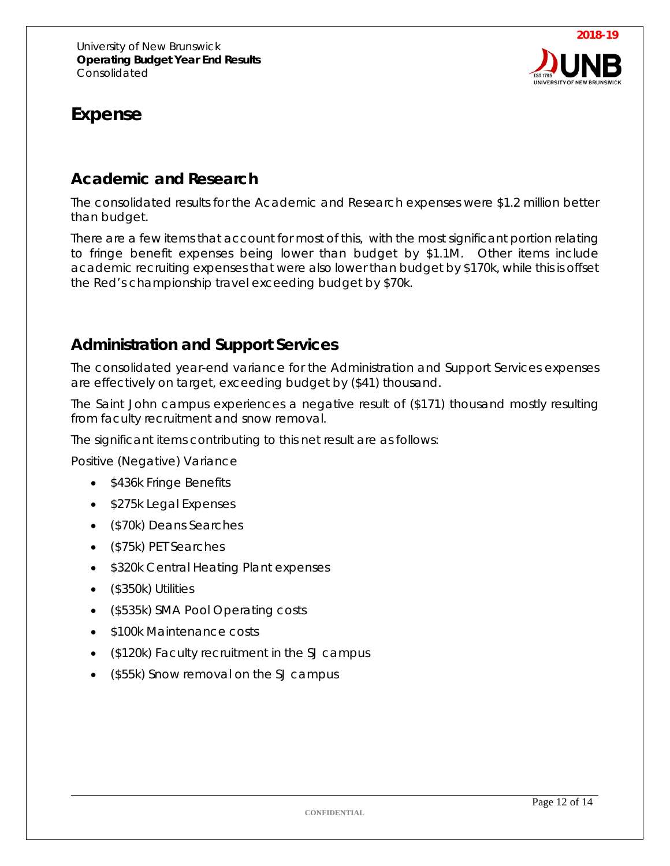

## **Expense**

### *Academic and Research*

The consolidated results for the Academic and Research expenses were \$1.2 million better than budget.

There are a few items that account for most of this, with the most significant portion relating to fringe benefit expenses being lower than budget by \$1.1M. Other items include academic recruiting expenses that were also lower than budget by \$170k, while this is offset the Red's championship travel exceeding budget by \$70k.

#### *Administration and Support Services*

The consolidated year-end variance for the Administration and Support Services expenses are effectively on target, exceeding budget by (\$41) thousand.

The Saint John campus experiences a negative result of (\$171) thousand mostly resulting from faculty recruitment and snow removal.

The significant items contributing to this net result are as follows:

Positive (Negative) Variance

- \$436k Fringe Benefits
- \$275k Legal Expenses
- (\$70k) Deans Searches
- (\$75k) PET Searches
- \$320k Central Heating Plant expenses
- (\$350k) Utilities
- (\$535k) SMA Pool Operating costs
- \$100k Maintenance costs
- (\$120k) Faculty recruitment in the SJ campus
- (\$55k) Snow removal on the SJ campus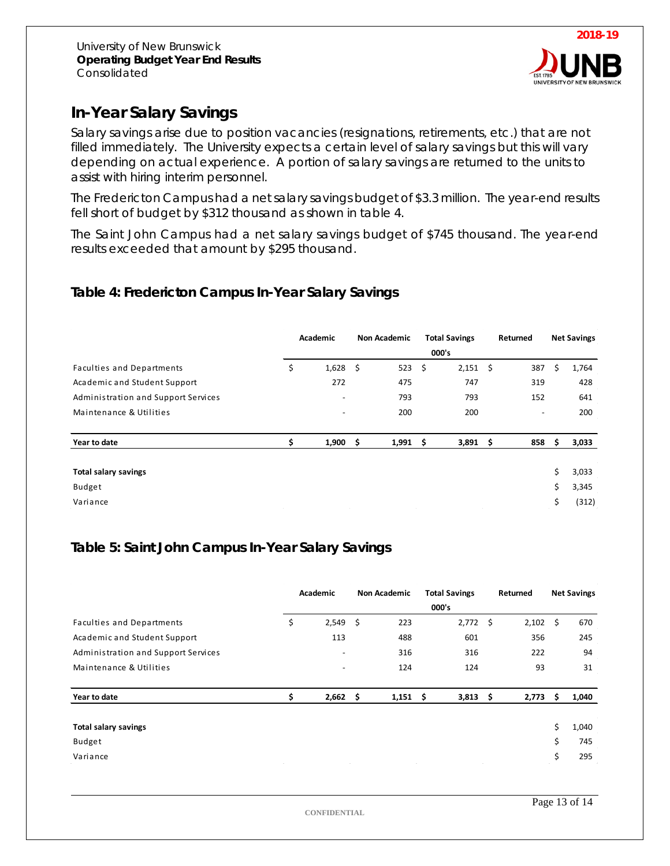

## *In-Year Salary Savings*

Salary savings arise due to position vacancies (resignations, retirements, etc.) that are not filled immediately. The University expects a certain level of salary savings but this will vary depending on actual experience. A portion of salary savings are returned to the units to assist with hiring interim personnel.

The Fredericton Campus had a net salary savings budget of \$3.3 million. The year-end results fell short of budget by \$312 thousand as shown in table 4.

The Saint John Campus had a net salary savings budget of \$745 thousand. The year-end results exceeded that amount by \$295 thousand.

#### **Table 4: Fredericton Campus In-Year Salary Savings**

|                                     | Academic |                          | <b>Non Academic</b> |            | <b>Total Savings</b> |       |    | Returned                 |     | <b>Net Savings</b> |
|-------------------------------------|----------|--------------------------|---------------------|------------|----------------------|-------|----|--------------------------|-----|--------------------|
|                                     |          |                          |                     |            | 000's                |       |    |                          |     |                    |
| <b>Faculties and Departments</b>    | \$       | $1,628$ \$               |                     | 523        | - \$                 | 2,151 | \$ | 387                      | \$  | 1,764              |
| Academic and Student Support        |          | 272                      |                     | 475        |                      | 747   |    | 319                      |     | 428                |
| Administration and Support Services |          | $\overline{\phantom{a}}$ |                     | 793        |                      | 793   |    | 152                      |     | 641                |
| Maintenance & Utilities             |          | $\overline{\phantom{a}}$ |                     | 200        |                      | 200   |    | $\overline{\phantom{0}}$ |     | 200                |
| Year to date                        | \$       | 1,900                    | - \$                | $1,991$ \$ |                      | 3,891 | \$ | 858                      | \$. | 3,033              |
|                                     |          |                          |                     |            |                      |       |    |                          |     |                    |
| <b>Total salary savings</b>         |          |                          |                     |            |                      |       |    |                          | \$  | 3,033              |
| Budget                              |          |                          |                     |            |                      |       |    |                          | \$  | 3,345              |
| Variance                            |          |                          |                     |            |                      |       |    |                          | \$  | (312)              |

#### **Table 5: Saint John Campus In-Year Salary Savings**

|                                     |    | Academic                 |  |            | <b>Total Savings</b><br>000's |      | Returned        | <b>Net Savings</b> |       |
|-------------------------------------|----|--------------------------|--|------------|-------------------------------|------|-----------------|--------------------|-------|
| <b>Faculties and Departments</b>    | \$ | $2,549$ \$               |  | 223        | 2,772                         | - \$ | $2,102 \quad $$ |                    | 670   |
| Academic and Student Support        |    | 113                      |  | 488        | 601                           |      | 356             |                    | 245   |
| Administration and Support Services |    | $\overline{\phantom{a}}$ |  | 316        | 316                           |      | 222             |                    | 94    |
| Maintenance & Utilities             |    | $\overline{\phantom{a}}$ |  | 124        | 124                           |      | 93              |                    | 31    |
| Year to date                        | Ś  | $2,662$ \$               |  | $1,151$ \$ | $3,813$ \$                    |      | 2,773           | Ŝ.                 | 1,040 |
| <b>Total salary savings</b>         |    |                          |  |            |                               |      |                 | \$                 | 1,040 |
| Budget                              |    |                          |  |            |                               |      |                 | \$                 | 745   |
| Variance                            |    |                          |  |            |                               |      |                 | \$                 | 295   |